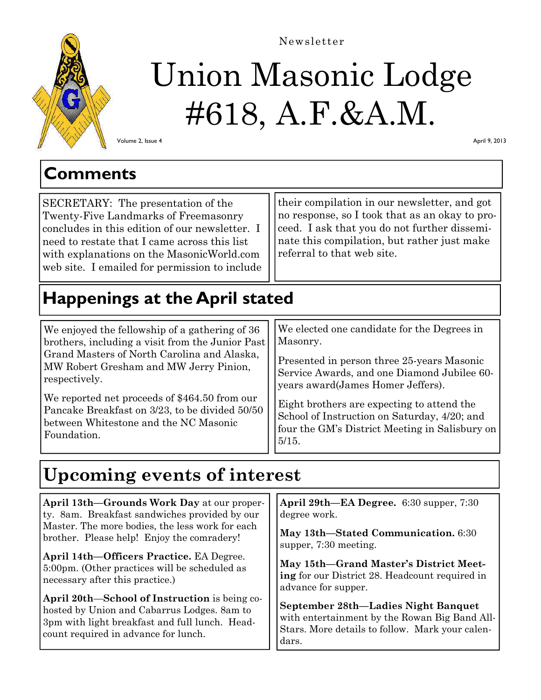

#### Newsletter

# Union Masonic Lodge #618, A.F.&A.M.

Volume 2, Issue 4

April 9, 2013

SECRETARY: The presentation of the Twenty-Five Landmarks of Freemasonry concludes in this edition of our newsletter. I need to restate that I came across this list with explanations on the MasonicWorld.com web site. I emailed for permission to include their compilation in our newsletter, and got no response, so I took that as an okay to proceed. I ask that you do not further disseminate this compilation, but rather just make referral to that web site.

# **Happenings at the April stated**

We enjoyed the fellowship of a gathering of 36 brothers, including a visit from the Junior Past Grand Masters of North Carolina and Alaska, MW Robert Gresham and MW Jerry Pinion, respectively.

We reported net proceeds of \$464.50 from our Pancake Breakfast on 3/23, to be divided 50/50 between Whitestone and the NC Masonic Foundation.

We elected one candidate for the Degrees in Masonry.

Presented in person three 25-years Masonic Service Awards, and one Diamond Jubilee 60 years award(James Homer Jeffers).

Eight brothers are expecting to attend the School of Instruction on Saturday, 4/20; and four the GM's District Meeting in Salisbury on 5/15.

## **Upcoming events of interest**

| April 13th—Grounds Work Day at our proper-      | April 29th—EA Degree. 6:30 supper, 7:30         |
|-------------------------------------------------|-------------------------------------------------|
| ty. 8am. Breakfast sandwiches provided by our   | degree work.                                    |
| Master. The more bodies, the less work for each | May 13th—Stated Communication. 6:30             |
| brother. Please help! Enjoy the comradery!      | supper, 7:30 meeting.                           |
| April 14th-Officers Practice. EA Degree.        | May 15th-Grand Master's District Meet-          |
| 5:00pm. (Other practices will be scheduled as   | ing for our District 28. Headcount required in  |
| necessary after this practice.)                 | advance for supper.                             |
| April 20th—School of Instruction is being co-   | September 28th-Ladies Night Banquet             |
| hosted by Union and Cabarrus Lodges. 8am to     | with entertainment by the Rowan Big Band All-   |
| 3pm with light breakfast and full lunch. Head-  | Stars. More details to follow. Mark your calen- |
| count required in advance for lunch.            | dars.                                           |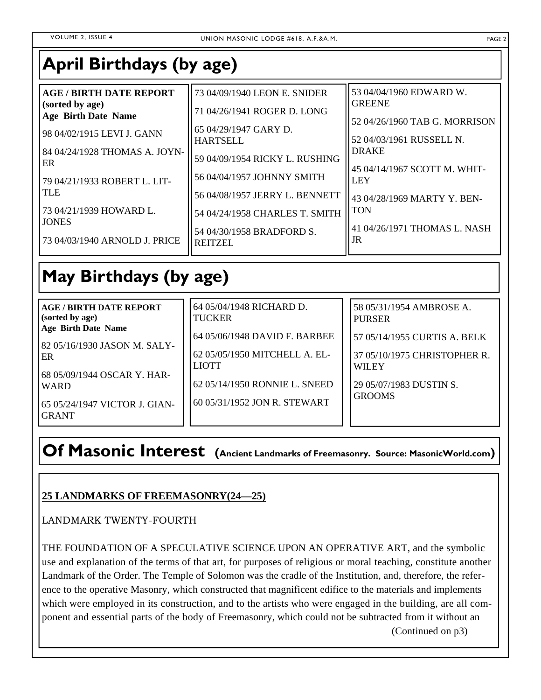### **April Birthdays (by age)**

| <b>AGE / BIRTH DATE REPORT</b><br>(sorted by age)<br><b>Age Birth Date Name</b> | 73 04/09/1940 LEON E. SNIDER<br>71 04/26/1941 ROGER D. LONG  | 53 04/04/1960 EDWARD W.<br><b>GREENE</b>                                  |
|---------------------------------------------------------------------------------|--------------------------------------------------------------|---------------------------------------------------------------------------|
| 98 04/02/1915 LEVI J. GANN                                                      | 65 04/29/1947 GARY D.                                        | 52 04/26/1960 TAB G. MORRISON                                             |
| 84 04/24/1928 THOMAS A. JOYN-                                                   | <b>HARTSELL</b>                                              | 52 04/03/1961 RUSSELL N.                                                  |
| ER                                                                              | 59 04/09/1954 RICKY L. RUSHING                               | <b>DRAKE</b>                                                              |
| 79 04/21/1933 ROBERT L. LIT-<br><b>TLE</b>                                      | 56 04/04/1957 JOHNNY SMITH<br>56 04/08/1957 JERRY L. BENNETT | 45 04/14/1967 SCOTT M. WHIT-<br><b>LEY</b><br>43 04/28/1969 MARTY Y. BEN- |
| 73 04/21/1939 HOWARD L.                                                         | 54 04/24/1958 CHARLES T. SMITH                               | <b>TON</b>                                                                |
| <b>JONES</b>                                                                    | 54 04/30/1958 BRADFORD S.                                    | 41 04/26/1971 THOMAS L. NASH                                              |
| 73 04/03/1940 ARNOLD J. PRICE                                                   | <b>REITZEL</b>                                               | JR                                                                        |

# **May Birthdays (by age)**

| <b>AGE/BIRTH DATE REPORT</b><br>(sorted by age)              | 64 05/04/1948 RICHARD D.<br><b>TUCKER</b>     | 58 05/31/1954 AMBROSE A.<br><b>PURSER</b>    |
|--------------------------------------------------------------|-----------------------------------------------|----------------------------------------------|
| <b>Age Birth Date Name</b><br>  82 05/16/1930 JASON M. SALY- | 64 05/06/1948 DAVID F. BARBEE                 | 57 05/14/1955 CURTIS A. BELK                 |
| l ER                                                         | 62 05/05/1950 MITCHELL A. EL-<br><b>LIOTT</b> | 37 05/10/1975 CHRISTOPHER R.<br><b>WILEY</b> |
| 68 05/09/1944 OSCAR Y. HAR-<br><b>WARD</b>                   | 62 05/14/1950 RONNIE L. SNEED                 | 29 05/07/1983 DUSTIN S.<br><b>GROOMS</b>     |
| 65 05/24/1947 VICTOR J. GIAN-<br><b>GRANT</b>                | 60 05/31/1952 JON R. STEWART                  |                                              |

### **Of Masonic Interest (Ancient Landmarks of Freemasonry. Source: MasonicWorld.com)**

### **25 LANDMARKS OF FREEMASONRY(24—25)**

LANDMARK TWENTY-FOURTH

THE FOUNDATION OF A SPECULATIVE SCIENCE UPON AN OPERATIVE ART, and the symbolic use and explanation of the terms of that art, for purposes of religious or moral teaching, constitute another Landmark of the Order. The Temple of Solomon was the cradle of the Institution, and, therefore, the reference to the operative Masonry, which constructed that magnificent edifice to the materials and implements which were employed in its construction, and to the artists who were engaged in the building, are all component and essential parts of the body of Freemasonry, which could not be subtracted from it without an (Continued on p3)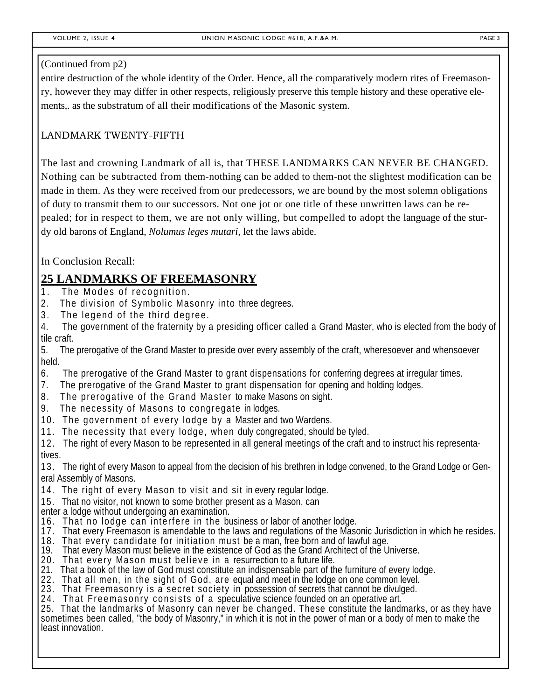#### (Continued from p2)

entire destruction of the whole identity of the Order. Hence, all the comparatively modern rites of Freemasonry, however they may differ in other respects, religiously preserve this temple history and these operative elements,. as the substratum of all their modifications of the Masonic system.

### LANDMARK TWENTY-FIFTH

The last and crowning Landmark of all is, that THESE LANDMARKS CAN NEVER BE CHANGED. Nothing can be subtracted from them-nothing can be added to them-not the slightest modification can be made in them. As they were received from our predecessors, we are bound by the most solemn obligations of duty to transmit them to our successors. Not one jot or one title of these unwritten laws can be repealed; for in respect to them, we are not only willing, but compelled to adopt the language of the sturdy old barons of England, *Nolumus leges mutari,* let the laws abide.

In Conclusion Recall:

### **25 LANDMARKS OF FREEMASONRY**

- 1. The Modes of recognition.
- 2. The division of Symbolic Masonry into three degrees.
- 3. The legend of the third degree.
- 4. The government of the fraternity by a presiding officer called a Grand Master, who is elected from the body of tile craft.
- 5. The prerogative of the Grand Master to preside over every assembly of the craft, wheresoever and whensoever held.
- 6. The prerogative of the Grand Master to grant dispensations for conferring degrees at irregular times.
- 7. The prerogative of the Grand Master to grant dispensation for opening and holding lodges.
- 8. The prerogative of the Grand Master to make Masons on sight.
- 9. The necessity of Masons to congregate in lodges.
- 10. The government of every lodge by a Master and two Wardens.
- 11. The necessity that every lodge, when duly congregated, should be tyled.
- 12. The right of every Mason to be represented in all general meetings of the craft and to instruct his representatives.
- 13. The right of every Mason to appeal from the decision of his brethren in lodge convened, to the Grand Lodge or General Assembly of Masons.
- 14. The right of every Mason to visit and sit in every regular lodge.
- 15. That no visitor, not known to some brother present as a Mason, can
- enter a lodge without undergoing an examination.
- 16. That no lodge can interfere in the business or labor of another lodge.
- 17. That every Freemason is amendable to the laws and regulations of the Masonic Jurisdiction in which he resides.
- 18. That every candidate for initiation must be a man, free born and of lawful age.
- 19. That every Mason must believe in the existence of God as the Grand Architect of the Universe.
- 20. That every Mason must believe in a resurrection to a future life.
- 21. That a book of the law of God must constitute an indispensable part of the furniture of every lodge.<br>22. That all men, in the sight of God, are equal and meet in the lodge on one common level.
- 
- 23. That Freemasonry is a secret society in possession of secrets that cannot be divulged.
- 24. That Freemasonry consists of a speculative science founded on an operative art.

25. That the landmarks of Masonry can never be changed. These constitute the landmarks, or as they have sometimes been called, "the body of Masonry," in which it is not in the power of man or a body of men to make the least innovation.